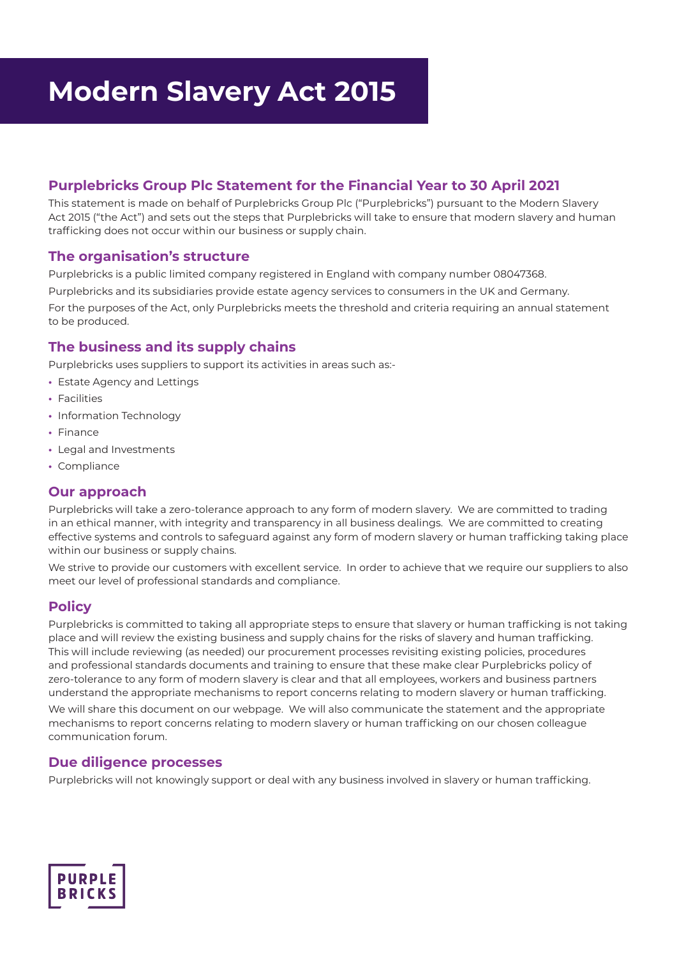## **Purplebricks Group Plc Statement for the Financial Year to 30 April 2021**

This statement is made on behalf of Purplebricks Group Plc ("Purplebricks") pursuant to the Modern Slavery Act 2015 ("the Act") and sets out the steps that Purplebricks will take to ensure that modern slavery and human trafficking does not occur within our business or supply chain.

### **The organisation's structure**

Purplebricks is a public limited company registered in England with company number 08047368. Purplebricks and its subsidiaries provide estate agency services to consumers in the UK and Germany. For the purposes of the Act, only Purplebricks meets the threshold and criteria requiring an annual statement to be produced.

## **The business and its supply chains**

Purplebricks uses suppliers to support its activities in areas such as:-

- **•** Estate Agency and Lettings
- **•** Facilities
- **•** Information Technology
- **•** Finance
- **•** Legal and Investments
- **•** Compliance

## **Our approach**

Purplebricks will take a zero-tolerance approach to any form of modern slavery. We are committed to trading in an ethical manner, with integrity and transparency in all business dealings. We are committed to creating effective systems and controls to safeguard against any form of modern slavery or human trafficking taking place within our business or supply chains.

We strive to provide our customers with excellent service. In order to achieve that we require our suppliers to also meet our level of professional standards and compliance.

## **Policy**

Purplebricks is committed to taking all appropriate steps to ensure that slavery or human trafficking is not taking place and will review the existing business and supply chains for the risks of slavery and human trafficking. This will include reviewing (as needed) our procurement processes revisiting existing policies, procedures and professional standards documents and training to ensure that these make clear Purplebricks policy of zero-tolerance to any form of modern slavery is clear and that all employees, workers and business partners understand the appropriate mechanisms to report concerns relating to modern slavery or human trafficking.

We will share this document on our webpage. We will also communicate the statement and the appropriate mechanisms to report concerns relating to modern slavery or human trafficking on our chosen colleague communication forum.

## **Due diligence processes**

Purplebricks will not knowingly support or deal with any business involved in slavery or human trafficking.